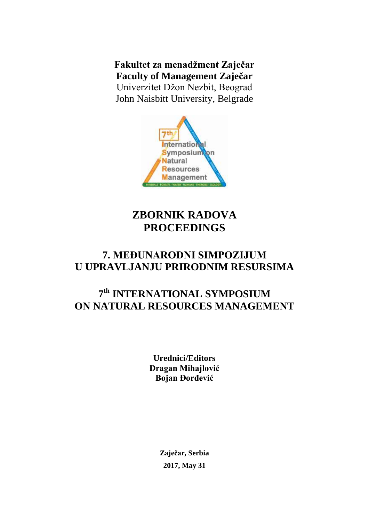**Fakultet za menadžment Zaječar Faculty of Management Zaječar** Univerzitet Džon Nezbit, Beograd John Naisbitt University, Belgrade



# **ZBORNIK RADOVA PROCEEDINGS**

# **7. MEĐUNARODNI SIMPOZIJUM U UPRAVLJANJU PRIRODNIM RESURSIMA**

# **7 th INTERNATIONAL SYMPOSIUM ON NATURAL RESOURCES MANAGEMENT**

**Urednici/Editors Dragan Mihajlović Bojan Đorđević**

> **Zaječar, Serbia 2017, May 31**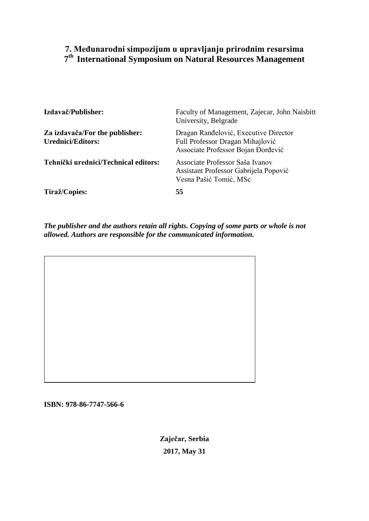## **7. Međunarodni simpozijum u upravljanju prirodnim resursima 7 th International Symposium on Natural Resources Management**

| Izdavač/Publisher:                                         | Faculty of Management, Zajecar, John Naisbitt<br>University, Belgrade                                           |
|------------------------------------------------------------|-----------------------------------------------------------------------------------------------------------------|
| Za izdavača/For the publisher:<br><b>Urednici/Editors:</b> | Dragan Ranđelović, Executive Director<br>Full Professor Dragan Mihajlović<br>Associate Professor Bojan Đorđević |
| Tehnički urednici/Technical editors:                       | Associate Professor Saša Ivanov<br>Assistant Professor Gabrijela Popović<br>Vesna Pašić Tomić, MSc              |
| Tiraž/Copies:                                              | 55                                                                                                              |

*The publisher and the authors retain all rights. Copying of some parts or whole is not allowed. Authors are responsible for the communicated information.*

**ISBN: 978-86-7747-566-6**

**Zaječar, Serbia 2017, May 31**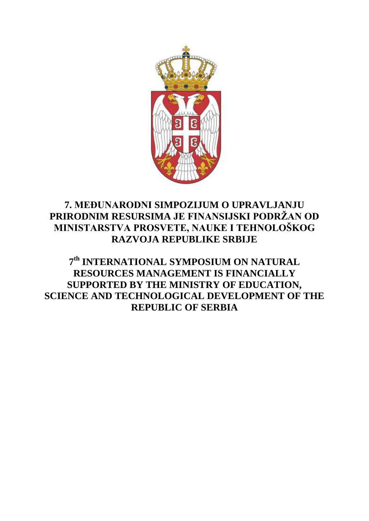

## **7. МЕĐUNARODNI SIMPOZIJUM O UPRAVLJANJU PRIRODNIM RESURSIMA JE FINANSIJSKI PODRŽAN OD MINISTARSTVA PROSVETE, NAUKE I TEHNOLOŠKOG RAZVOJA REPUBLIKE SRBIJE**

**7 th INTERNATIONAL SYMPOSIUM ON NATURAL RESOURCES MANAGEMENT IS FINANCIALLY SUPPORTED BY THE MINISTRY OF EDUCATION, SCIENCE AND TECHNOLOGICAL DEVELOPMENT OF THE REPUBLIC OF SERBIA**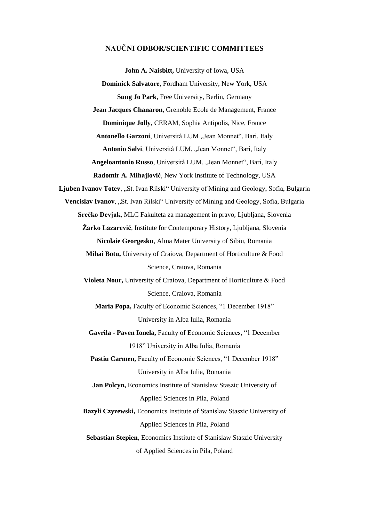### **NAUČNI ODBOR/SCIENTIFIC COMMITTEES**

**John A. Naisbitt,** University of Iowa, USA **Dominick Salvatore,** Fordham University, New York, USA **Sung Jo Park**, Free University, Berlin, Germany **Jean Jacques Chanaron**, Grenoble Ecole de Management, France **Dominique Jolly**, CERAM, Sophia Antipolis, Nice, France Antonello Garzoni, Università LUM "Jean Monnet", Bari, Italy Antonio Salvi, Università LUM, "Jean Monnet", Bari, Italy **Angeloantonio Russo**, Università LUM, "Jean Monnet", Bari, Italy **Radomir A. Mihajlović**, New York Institute of Technology, USA Ljuben Ivanov Totev, "St. Ivan Rilski" University of Mining and Geology, Sofia, Bulgaria Vencislav Ivanov, "St. Ivan Rilski" University of Mining and Geology, Sofia, Bulgaria **Srečko Devjak**, MLC Fakulteta za management in pravo, Ljubljana, Slovenia **Žarko Lazarević**, Institute for Contemporary History, Ljubljana, Slovenia **Nicolaie Georgesku**, Alma Mater University of Sibiu, Romania **Mihai Botu,** University of Craiova, Department of Horticulture & Food Science, Craiova, Romania **Violeta Nour,** University of Craiova, Department of Horticulture & Food Science, Craiova, Romania **Maria Popa,** Faculty of Economic Sciences, "1 December 1918" University in Alba Iulia, Romania **Gavrila - Paven Ionela,** Faculty of Economic Sciences, "1 December 1918" University in Alba Iulia, Romania Pastiu Carmen, Faculty of Economic Sciences, "1 December 1918" University in Alba Iulia, Romania **Jan Polcyn,** Economics Institute of Stanislaw Staszic University of Applied Sciences in Pila, Poland **Bazyli Czyzewski,** Economics Institute of Stanislaw Staszic University of Applied Sciences in Pila, Poland **Sebastian Stepien,** Economics Institute of Stanislaw Staszic University of Applied Sciences in Pila, Poland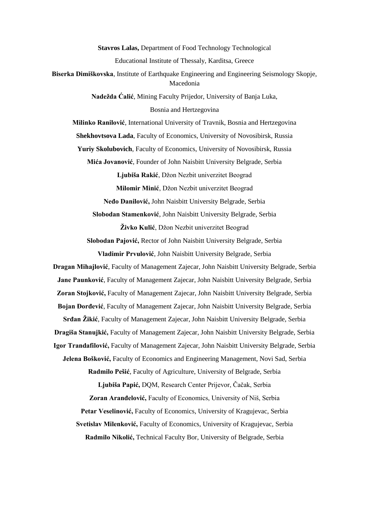**Stavros Lalas,** Department of Food Technology Technological Educational Institute of Thessaly, Karditsa, Greece **Biserka Dimiškovska**, Institute of Earthquake Engineering and Engineering Seismology Skopje,

Macedonia

**Nadežda Ćalić**, Mining Faculty Prijedor, University of Banja Luka, Bosnia and Hertzegovina

**Milinko Ranilović**, International University of Travnik, Bosnia and Hertzegovina **Shekhovtsova Lada**, Faculty of Economics, University of Novosibirsk, Russia **Yuriy Skolubovich**, Faculty of Economics, University of Novosibirsk, Russia

**Mića Jovanović**, Founder of John Naisbitt University Belgrade, Serbia

**Ljubiša Rakić**, Džon Nezbit univerzitet Beograd

**Milomir Minić**, Džon Nezbit univerzitet Beograd

**Neđo Danilović,** John Naisbitt University Belgrade, Serbia **Slobodan Stamenković**, John Naisbitt University Belgrade, Serbia

**Živko Kulić**, Džon Nezbit univerzitet Beograd

**Slobodan Pajović,** Rector of John Naisbitt University Belgrade, Serbia **Vladimir Prvulović**, John Naisbitt University Belgrade, Serbia

**Dragan Mihajlović**, Faculty of Management Zajecar, John Naisbitt University Belgrade, Serbia **Jane Paunković**, Faculty of Management Zajecar, John Naisbitt University Belgrade, Serbia **Zoran Stojković,** Faculty of Management Zajecar, John Naisbitt University Belgrade, Serbia **Bojan Đorđević**, Faculty of Management Zajecar, John Naisbitt University Belgrade, Serbia **Srđan Žikić**, Faculty of Management Zajecar, John Naisbitt University Belgrade, Serbia **Dragiša Stanujkić,** Faculty of Management Zajecar, John Naisbitt University Belgrade, Serbia **Igor Trandafilović,** Faculty of Management Zajecar, John Naisbitt University Belgrade, Serbia **Jelena Bošković,** Faculty of Economics and Engineering Management, Novi Sad, Serbia **Radmilo Pešić**, Faculty of Agriculture, University of Belgrade, Serbia **Ljubiša Papić,** DQM, Research Center Prijevor, Čačak, Serbia **Zoran Aranđelović,** Faculty of Economics, University of Niš, Serbia Petar Veselinović, Faculty of Economics, University of Kragujevac, Serbia **Svetislav Milenković,** Faculty of Economics, University of Kragujevac, Serbia **Radmilo Nikolić,** Technical Faculty Bor, University of Belgrade, Serbia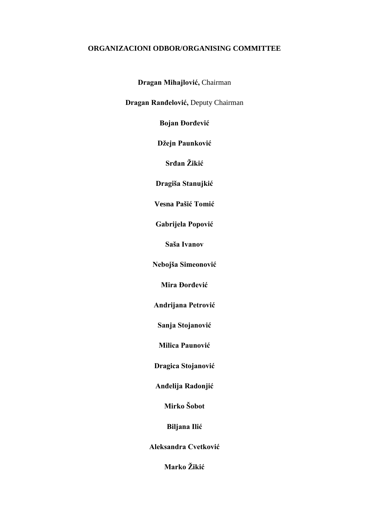### **ORGANIZACIONI ODBOR/ORGANISING COMMITTEE**

**Dragan Mihajlović,** Chairman

**Dragan Ranđelović,** Deputy Chairman

**Bojan Đorđević**

**Džejn Paunković**

**Srđan Žikić**

**Dragiša Stanujkić**

**Vesna Pašić Tomić**

**Gabrijela Popović**

**Saša Ivanov**

**Nebojša Simeonović**

**Mira Đorđević**

**Andrijana Petrović**

**Sanja Stojanović**

**Milica Paunović**

**Dragica Stojanović** 

**Anđelija Radonjić**

**Mirko Šobot**

**Biljana Ilić**

**Aleksandra Cvetković**

**Marko Žikić**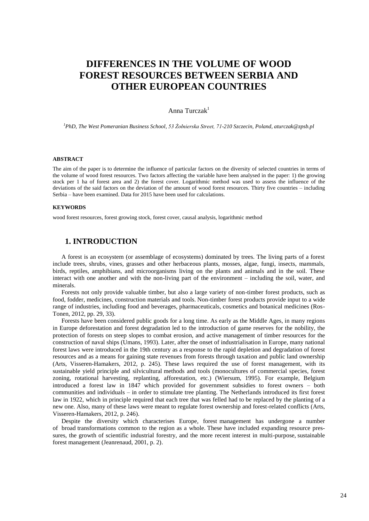## **DIFFERENCES IN THE VOLUME OF WOOD FOREST RESOURCES BETWEEN SERBIA AND OTHER EUROPEAN COUNTRIES**

#### Anna Turcza $k<sup>1</sup>$

*1 PhD, The West Pomeranian Business School, 53 Żołnierska Street, 71-210 Szczecin, Poland, aturczak@zpsb.pl* 

#### **ABSTRACT**

The aim of the paper is to determine the influence of particular factors on the diversity of selected countries in terms of the volume of wood forest resources. Two factors affecting the variable have been analysed in the paper: 1) the growing stock per 1 ha of forest area and 2) the forest cover. Logarithmic method was used to assess the influence of the deviations of the said factors on the deviation of the amount of wood forest resources. Thirty five countries – including Serbia – have been examined. Data for 2015 have been used for calculations.

#### **KEYWORDS**

wood forest resources, forest growing stock, forest cover, causal analysis, logarithmic method

#### **1. INTRODUCTION**

A forest is an ecosystem (or assemblage of ecosystems) dominated by trees. The living parts of a forest include trees, shrubs, vines, grasses and other herbaceous plants, mosses, algae, fungi, insects, mammals, birds, reptiles, amphibians, and microorganisms living on the plants and animals and in the soil. These interact with one another and with the non-living part of the environment – including the soil, water, and minerals.

Forests not only provide valuable timber, but also a large variety of non-timber forest products, such as food, fodder, medicines, construction materials and tools. Non-timber forest products provide input to a wide range of industries, including food and beverages, pharmaceuticals, cosmetics and botanical medicines (Ros-Tonen, 2012, pp. 29, 33).

Forests have been considered public goods for a long time. As early as the Middle Ages, in many regions in Europe deforestation and forest degradation led to the introduction of game reserves for the nobility, the protection of forests on steep slopes to combat erosion, and active management of timber resources for the construction of naval ships (Umans, 1993). Later, after the onset of industrialisation in Europe, many national forest laws were introduced in the 19th century as a response to the rapid depletion and degradation of forest resources and as a means for gaining state revenues from forests through taxation and public land ownership (Arts, Visseren-Hamakers, 2012, p. 245). These laws required the use of forest management, with its sustainable yield principle and silvicultural methods and tools (monocultures of commercial species, forest zoning, rotational harvesting, replanting, afforestation, etc.) (Wiersum, 1995). For example, Belgium introduced a forest law in 1847 which provided for government subsidies to forest owners – both communities and individuals – in order to stimulate tree planting. The Netherlands introduced its first forest law in 1922, which in principle required that each tree that was felled had to be replaced by the planting of a new one. Also, many of these laws were meant to regulate forest ownership and forest-related conflicts (Arts, Visseren-Hamakers, 2012, p. 246).

Despite the diversity which characterises Europe, forest management has undergone a number of broad transformations common to the region as a whole. These have included expanding resource pressures, the growth of scientific industrial forestry, and the more recent interest in multi-purpose, sustainable forest management (Jeanrenaud, 2001, p. 2).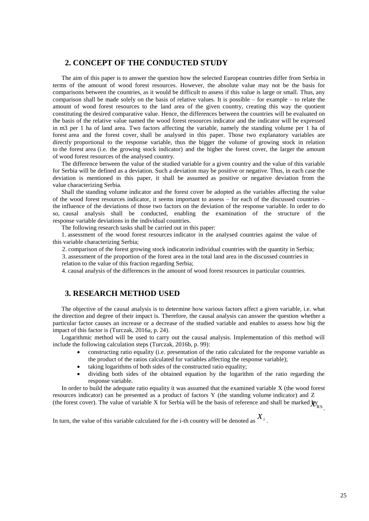### **2. CONCEPT OF THE CONDUCTED STUDY**

The aim of this paper is to answer the question how the selected European countries differ from Serbia in terms of the amount of wood forest resources. However, the absolute value may not be the basis for comparisons between the countries, as it would be difficult to assess if this value is large or small. Thus, any comparison shall be made solely on the basis of relative values. It is possible – for example – to relate the amount of wood forest resources to the land area of the given country, creating this way the quotient constituting the desired comparative value. Hence, the differences between the countries will be evaluated on the basis of the relative value named the wood forest resources indicator and the indicator will be expressed in m3 per 1 ha of land area. Two factors affecting the variable, namely the standing volume per 1 ha of forest area and the forest cover, shall be analysed in this paper. Those two explanatory variables are directly proportional to the response variable, thus the bigger the volume of growing stock in relation to the forest area (i.e. the growing stock indicator) and the higher the forest cover, the larger the amount of wood forest resources of the analysed country.

The difference between the value of the studied variable for a given country and the value of this variable for Serbia will be defined as a deviation. Such a deviation may be positive or negative. Thus, in each case the deviation is mentioned in this paper, it shall be assumed as positive or negative deviation from the value characterizing Serbia.

Shall the standing volume indicator and the forest cover be adopted as the variables affecting the value of the wood forest resources indicator, it seems important to assess – for each of the discussed countries – the influence of the deviations of those two factors on the deviation of the response variable. In order to do so, causal analysis shall be conducted, enabling the examination of the structure of the response variable deviations in the individual countries.

The following research tasks shall be carried out in this paper:

1. assessment of the wood forest resources indicator in the analysed countries against the value of this variable characterizing Serbia;

2. comparison of the forest growing stock indicatorin individual countries with the quantity in Serbia;

3. assessment of the proportion of the forest area in the total land area in the discussed countries in relation to the value of this fraction regarding Serbia;

4. causal analysis of the differences in the amount of wood forest resources in particular countries.

#### **3. RESEARCH METHOD USED**

The objective of the causal analysis is to determine how various factors affect a given variable, i.e. what the direction and degree of their impact is. Therefore, the causal analysis can answer the question whether a particular factor causes an increase or a decrease of the studied variable and enables to assess how big the impact of this factor is (Turczak, 2016a, p. 24).

Logarithmic method will be used to carry out the causal analysis. Implementation of this method will include the following calculation steps (Turczak, 2016b, p. 99):

- constructing ratio equality (i.e. presentation of the ratio calculated for the response variable as the product of the ratios calculated for variables affecting the response variable);
- taking logarithms of both sides of the constructed ratio equality;
- dividing both sides of the obtained equation by the logarithm of the ratio regarding the response variable.

In order to build the adequate ratio equality it was assumed that the examined variable X (the wood forest resources indicator) can be presented as a product of factors Y (the standing volume indicator) and Z

(the forest cover). The value of variable X for Serbia will be the basis of reference and shall be marked  $\chi$ <sup>*N*<sub>RS</sub></sup>.

In turn, the value of this variable calculated for the *i*-th country will be denoted as  $X_i$ .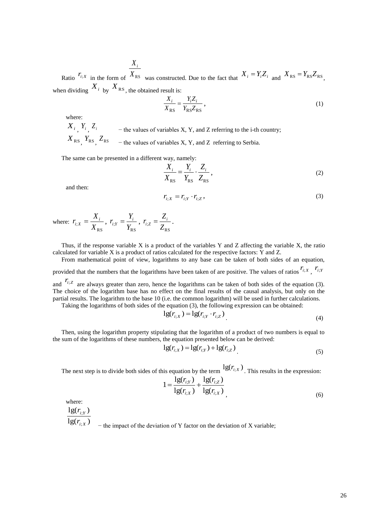Ratio  $r_{i,X}$  in the form of  $X_{RS}$  was constructed. Due to the fact that  $X_i = Y_i Z_i$  and  $X_{RS} = Y_{RS} Z_{RS}$ , *Xi* when dividing  $X_i$  by  $X_{RS}$ , the obtained result is:

$$
\frac{X_i}{X_{\rm RS}} = \frac{Y_i Z_i}{Y_{\rm RS} Z_{\rm RS}},\tag{1}
$$

where:

 $X_i$ ,  $Y_i$ ,  $Z_i$  – the values of variables X, Y, and Z referring to the i-th country;  $X_{RS}$ ,  $Y_{RS}$ ,  $Z_{RS}$  – the values of variables X, Y, and Z referring to Serbia.

The same can be presented in a different way, namely:

$$
\frac{X_i}{X_{RS}} = \frac{Y_i}{Y_{RS}} \cdot \frac{Z_i}{Z_{RS}},
$$
\n(2)

and then:

$$
r_{i;X} = r_{i;Y} \cdot r_{i;Z},\tag{3}
$$

where: RS ; *X X*  $r_{i \cdot X} = \frac{\Delta_i}{\Delta_i}$  $\dot{v}_{i;X} = \frac{X_i}{Y},$ RS ; *Y Y*  $r_{i} = \frac{I_{i}}{I_{i}}$  $\dot{G}_{i;Y} = \frac{I_i}{V},$ RS ; *Z Z*  $r_{i \cdot Z} = \frac{L_i}{I}$  $\dot{I}_{i;\mathcal{Z}} = \frac{Z_i}{Z}$ .

Thus, if the response variable  $X$  is a product of the variables  $Y$  and  $Z$  affecting the variable  $X$ , the ratio calculated for variable X is a product of ratios calculated for the respective factors: Y and Z.

From mathematical point of view, logarithms to any base can be taken of both sides of an equation, provided that the numbers that the logarithms have been taken of are positive. The values of ratios  $r_{i,x}$ ,  $r_{i,y}$ 

and  $r_{i:z}$  are always greater than zero, hence the logarithms can be taken of both sides of the equation (3). The choice of the logarithm base has no effect on the final results of the causal analysis, but only on the partial results. The logarithm to the base 10 (i.e. the common logarithm) will be used in further calculations.

Taking the logarithms of both sides of the equation (3), the following expression can be obtained:

$$
lg(r_{i:X}) = lg(r_{i:Y} \cdot r_{i:Z})
$$
\n<sup>(4)</sup>

Then, using the logarithm property stipulating that the logarithm of a product of two numbers is equal to the sum of the logarithms of these numbers, the equation presented below can be derived:

$$
lg(r_{i,X}) = lg(r_{i,Y}) + lg(r_{i,Z})
$$
\n(5)

The next step is to divide both sides of this equation by the term  $\lg(r_{i,X})$ . This results in the expression:

$$
1 = \frac{lg(r_{i;Y})}{lg(r_{i;X})} + \frac{lg(r_{i;Z})}{lg(r_{i;X})}
$$
\n(6)

where:

 $lg(r_{i;Y})$ 

 $\lg(r_{i:X})$ 

− the impact of the deviation of Y factor on the deviation of X variable;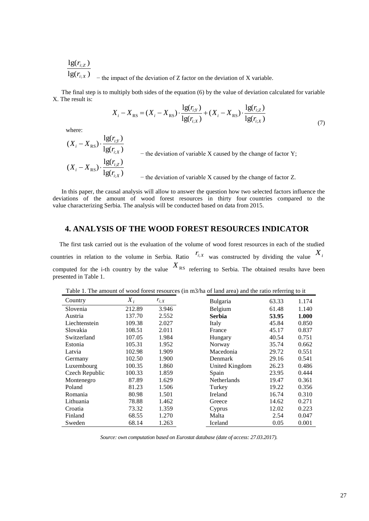$$
\frac{lg(r_{i;Z})}{lg(r_{i;X})}
$$
 – the impact of the deviation of Z factor on the deviation of X variable.

The final step is to multiply both sides of the equation (6) by the value of deviation calculated for variable X. The result is:

$$
X_i - X_{RS} = (X_i - X_{RS}) \cdot \frac{lg(r_{i;Y})}{lg(r_{i;X})} + (X_i - X_{RS}) \cdot \frac{lg(r_{i;Z})}{lg(r_{i;X})}
$$
(7)

where:

$$
(X_i - X_{\text{RS}}) \cdot \frac{lg(r_{i;Y})}{lg(r_{i;X})}
$$
  
\n- the deviation of variable X caused by the change of factor Y;  
\n
$$
(X_i - X_{\text{RS}}) \cdot \frac{lg(r_{i;Z})}{lg(r_{i;X})}
$$
  
\n- the deviation of variable X caused by the change of factor Z.

In this paper, the causal analysis will allow to answer the question how two selected factors influence the deviations of the amount of wood forest resources in thirty four countries compared to the value characterizing Serbia. The analysis will be conducted based on data from 2015.

### **4. ANALYSIS OF THE WOOD FOREST RESOURCES INDICATOR**

The first task carried out is the evaluation of the volume of wood forest resources in each of the studied countries in relation to the volume in Serbia. Ratio  $r_{i:X}$  was constructed by dividing the value  $X_i$ computed for the i-th country by the value  $X_{RS}$  referring to Serbia. The obtained results have been presented in Table 1.

| Country        | $X_i$  | $r_{i;X}$ | <b>Bulgaria</b>    | 63.33 |
|----------------|--------|-----------|--------------------|-------|
| Slovenia       | 212.89 | 3.946     | Belgium            | 61.48 |
| Austria        | 137.70 | 2.552     | Serbia             | 53.95 |
| Liechtenstein  | 109.38 | 2.027     | Italy              | 45.84 |
| Slovakia       | 108.51 | 2.011     | France             | 45.17 |
| Switzerland    | 107.05 | 1.984     | Hungary            | 40.54 |
| Estonia        | 105.31 | 1.952     | Norway             | 35.74 |
| Latvia         | 102.98 | 1.909     | Macedonia          | 29.72 |
| Germany        | 102.50 | 1.900     | Denmark            | 29.16 |
| Luxembourg     | 100.35 | 1.860     | United Kingdom     | 26.23 |
| Czech Republic | 100.33 | 1.859     | Spain              | 23.95 |
| Montenegro     | 87.89  | 1.629     | <b>Netherlands</b> | 19.47 |
| Poland         | 81.23  | 1.506     | Turkey             | 19.22 |
| Romania        | 80.98  | 1.501     | Ireland            | 16.74 |
| Lithuania      | 78.88  | 1.462     | Greece             | 14.62 |
| Croatia        | 73.32  | 1.359     | Cyprus             | 12.02 |
| Finland        | 68.55  | 1.270     | Malta              | 2.54  |
| Sweden         | 68.14  | 1.263     | Iceland            | 0.05  |

Table 1. The amount of wood forest resources (in m3/ha of land area) and the ratio referring to it

*Source: own computation based on Eurostat database (date of access: 27.03.2017).*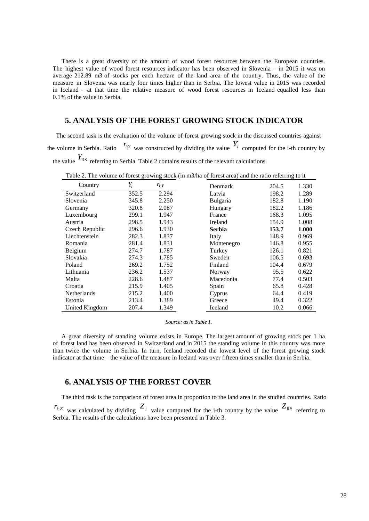There is a great diversity of the amount of wood forest resources between the European countries. The highest value of wood forest resources indicator has been observed in Slovenia – in 2015 it was on average 212.89 m3 of stocks per each hectare of the land area of the country. Thus, the value of the measure in Slovenia was nearly four times higher than in Serbia. The lowest value in 2015 was recorded in Iceland – at that time the relative measure of wood forest resources in Iceland equalled less than 0.1% of the value in Serbia.

#### **5. ANALYSIS OF THE FOREST GROWING STOCK INDICATOR**

The second task is the evaluation of the volume of forest growing stock in the discussed countries against the volume in Serbia. Ratio  $r_{i,Y}$  was constructed by dividing the value  $Y_i$  computed for the i-th country by the value  $Y_{RS}$  referring to Serbia. Table 2 contains results of the relevant calculations.

| Country        | $Y_i$ | $r_{i:Y}$ | <b>Denmark</b> | 204.5 | 1.330 |
|----------------|-------|-----------|----------------|-------|-------|
| Switzerland    | 352.5 | 2.294     | Latvia         | 198.2 | 1.289 |
| Slovenia       | 345.8 | 2.250     | Bulgaria       | 182.8 | 1.190 |
| Germany        | 320.8 | 2.087     | Hungary        | 182.2 | 1.186 |
| Luxembourg     | 299.1 | 1.947     | France         | 168.3 | 1.095 |
| Austria        | 298.5 | 1.943     | Ireland        | 154.9 | 1.008 |
| Czech Republic | 296.6 | 1.930     | <b>Serbia</b>  | 153.7 | 1.000 |
| Liechtenstein  | 282.3 | 1.837     | Italy          | 148.9 | 0.969 |
| Romania        | 281.4 | 1.831     | Montenegro     | 146.8 | 0.955 |
| Belgium        | 274.7 | 1.787     | Turkey         | 126.1 | 0.821 |
| Slovakia       | 274.3 | 1.785     | Sweden         | 106.5 | 0.693 |
| Poland         | 269.2 | 1.752     | Finland        | 104.4 | 0.679 |
| Lithuania      | 236.2 | 1.537     | Norway         | 95.5  | 0.622 |
| Malta          | 228.6 | 1.487     | Macedonia      | 77.4  | 0.503 |
| Croatia        | 215.9 | 1.405     | Spain          | 65.8  | 0.428 |
| Netherlands    | 215.2 | 1.400     | Cyprus         | 64.4  | 0.419 |
| Estonia        | 213.4 | 1.389     | Greece         | 49.4  | 0.322 |
| United Kingdom | 207.4 | 1.349     | Iceland        | 10.2  | 0.066 |

Table 2. The volume of forest growing stock (in m3/ha of forest area) and the ratio referring to it

#### *Source: as in Table 1.*

A great diversity of standing volume exists in Europe. The largest amount of growing stock per 1 ha of forest land has been observed in Switzerland and in 2015 the standing volume in this country was more than twice the volume in Serbia. In turn, Iceland recorded the lowest level of the forest growing stock indicator at that time – the value of the measure in Iceland was over fifteen times smaller than in Serbia.

#### **6. ANALYSIS OF THE FOREST COVER**

The third task is the comparison of forest area in proportion to the land area in the studied countries. Ratio  $r_{i,z}$  was calculated by dividing  $Z_i$  value computed for the i-th country by the value  $Z_{RS}$  referring to Serbia. The results of the calculations have been presented in Table 3.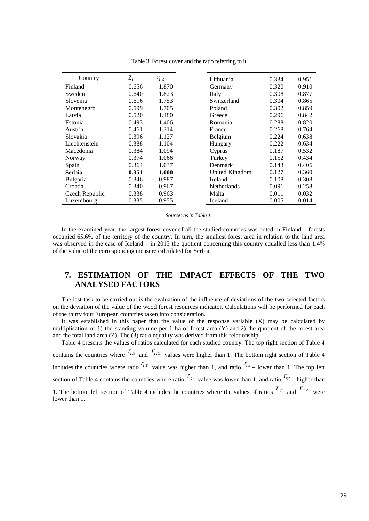| Country         | $Z_i$ | $r_{i,Z}$ | Lithuania      | 0.334 | 0.951 |
|-----------------|-------|-----------|----------------|-------|-------|
| Finland         | 0.656 | 1.870     | Germany        | 0.320 | 0.910 |
| Sweden          | 0.640 | 1.823     | Italy          | 0.308 | 0.877 |
| Slovenia        | 0.616 | 1.753     | Switzerland    | 0.304 | 0.865 |
| Montenegro      | 0.599 | 1.705     | Poland         | 0.302 | 0.859 |
| Latvia          | 0.520 | 1.480     | Greece         | 0.296 | 0.842 |
| Estonia         | 0.493 | 1.406     | Romania        | 0.288 | 0.820 |
| Austria         | 0.461 | 1.314     | France         | 0.268 | 0.764 |
| Slovakia        | 0.396 | 1.127     | Belgium        | 0.224 | 0.638 |
| Liechtenstein   | 0.388 | 1.104     | Hungary        | 0.222 | 0.634 |
| Macedonia       | 0.384 | 1.094     | Cyprus         | 0.187 | 0.532 |
| Norway          | 0.374 | 1.066     | Turkey         | 0.152 | 0.434 |
| Spain           | 0.364 | 1.037     | Denmark        | 0.143 | 0.406 |
| Serbia          | 0.351 | 1.000     | United Kingdom | 0.127 | 0.360 |
| <b>Bulgaria</b> | 0.346 | 0.987     | Ireland        | 0.108 | 0.308 |
| Croatia         | 0.340 | 0.967     | Netherlands    | 0.091 | 0.258 |
| Czech Republic  | 0.338 | 0.963     | Malta          | 0.011 | 0.032 |
| Luxembourg      | 0.335 | 0.955     | Iceland        | 0.005 | 0.014 |

Table 3. Forest cover and the ratio referring to it

*Source: as in Table 1.* 

In the examined year, the largest forest cover of all the studied countries was noted in Finland – forests occupied 65.6% of the territory of the country. In turn, the smallest forest area in relation to the land area was observed in the case of Iceland – in 2015 the quotient concerning this country equalled less than 1.4% of the value of the corresponding measure calculated for Serbia.

### **7. ESTIMATION OF THE IMPACT EFFECTS OF THE TWO ANALYSED FACTORS**

The last task to be carried out is the evaluation of the influence of deviations of the two selected factors on the deviation of the value of the wood forest resources indicator. Calculations will be performed for each of the thirty four European countries taken into consideration.

It was established in this paper that the value of the response variable  $(X)$  may be calculated by multiplication of 1) the standing volume per 1 ha of forest area  $(Y)$  and 2) the quotient of the forest area and the total land area  $(Z)$ . The  $(3)$  ratio equality was derived from this relationship.

Table 4 presents the values of ratios calculated for each studied country. The top right section of Table 4 contains the countries where  $r_{i,Y}$  and  $r_{i,Z}$  values were higher than 1. The bottom right section of Table 4

includes the countries where ratio  $r_{i,Y}$  value was higher than 1, and ratio  $r_{i,Z}$  – lower than 1. The top left section of Table 4 contains the countries where ratio  $r_{i,Y}$  value was lower than 1, and ratio  $r_{i,Z}$  – higher than

1. The bottom left section of Table 4 includes the countries where the values of ratios  $r_{i,Y}$  and  $r_{i,Z}$  were lower than 1.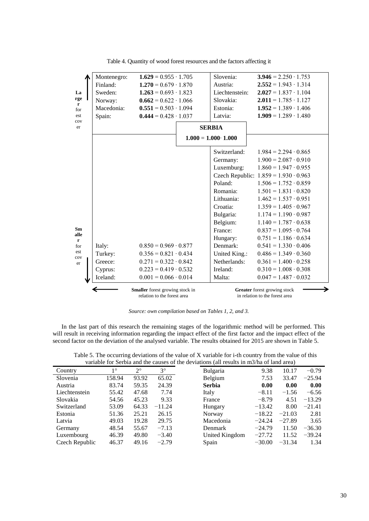|                     | Montenegro: | $1.629 = 0.955 \cdot 1.705$                                           |         | Slovenia:                   | $3.946 = 2.250 \cdot 1.753$                                    |
|---------------------|-------------|-----------------------------------------------------------------------|---------|-----------------------------|----------------------------------------------------------------|
|                     | Finland:    | $1.270 = 0.679 \cdot 1.870$                                           |         | Austria:                    | $2.552 = 1.943 \cdot 1.314$                                    |
| La                  | Sweden:     | $1.263 = 0.693 \cdot 1.823$                                           |         | Liechtenstein:              | $2.027 = 1.837 \cdot 1.104$                                    |
| rge<br>$\mathbf{r}$ | Norway:     | $0.662 = 0.622 \cdot 1.066$                                           |         | Slovakia:                   | $2.011 = 1.785 \cdot 1.127$                                    |
| for                 | Macedonia:  | $0.551 = 0.503 \cdot 1.094$                                           |         | Estonia:                    | $1.952 = 1.389 \cdot 1.406$                                    |
| est                 | Spain:      | $0.444 = 0.428 \cdot 1.037$                                           |         | Latvia:                     | $1.909 = 1.289 \cdot 1.480$                                    |
| cov<br>er           |             |                                                                       |         | <b>SERBIA</b>               |                                                                |
|                     |             |                                                                       |         | $1.000 = 1.000 \cdot 1.000$ |                                                                |
|                     |             |                                                                       |         | Switzerland:                | $1.984 = 2.294 \cdot 0.865$                                    |
|                     |             |                                                                       |         | Germany:                    | $1.900 = 2.087 \cdot 0.910$                                    |
|                     |             |                                                                       |         | Luxemburg:                  | $1.860 = 1.947 \cdot 0.955$                                    |
|                     |             |                                                                       |         |                             | Czech Republic: $1.859 = 1.930 \cdot 0.963$                    |
|                     |             |                                                                       | Poland: | $1.506 = 1.752 \cdot 0.859$ |                                                                |
|                     |             |                                                                       |         | Romania:                    | $1.501 = 1.831 \cdot 0.820$                                    |
|                     |             |                                                                       |         | Lithuania:                  | $1.462 = 1.537 \cdot 0.951$                                    |
|                     |             |                                                                       |         | Croatia:                    | $1.359 = 1.405 \cdot 0.967$                                    |
|                     |             |                                                                       |         | Bulgaria:                   | $1.174 = 1.190 \cdot 0.987$                                    |
|                     |             |                                                                       |         | Belgium:                    | $1.140 = 1.787 \cdot 0.638$                                    |
| Sm<br>alle          |             |                                                                       |         | France:                     | $0.837 = 1.095 \cdot 0.764$                                    |
| $\mathbf{r}$        |             |                                                                       |         | Hungary:                    | $0.751 = 1.186 \cdot 0.634$                                    |
| for                 | Italy:      | $0.850 = 0.969 \cdot 0.877$                                           |         | Denmark:                    | $0.541 = 1.330 \cdot 0.406$                                    |
| est<br>cov          | Turkey:     | $0.356 = 0.821 \cdot 0.434$                                           |         | United King.:               | $0.486 = 1.349 \cdot 0.360$                                    |
| er                  | Greece:     | $0.271 = 0.322 \cdot 0.842$                                           |         | Netherlands:                | $0.361 = 1.400 \cdot 0.258$                                    |
|                     | Cyprus:     | $0.223 = 0.419 \cdot 0.532$                                           |         | Ireland:                    | $0.310 = 1.008 \cdot 0.308$                                    |
|                     | Iceland:    | $0.001 = 0.066 \cdot 0.014$                                           |         | Malta:                      | $0.047 = 1.487 \cdot 0.032$                                    |
|                     |             | <b>Smaller</b> forest growing stock in<br>relation to the forest area |         |                             | Greater forest growing stock<br>in relation to the forest area |

Table 4. Quantity of wood forest resources and the factors affecting it

*Source: own compilation based on Tables 1, 2, and 3.* 

In the last part of this research the remaining stages of the logarithmic method will be performed. This will result in receiving information regarding the impact effect of the first factor and the impact effect of the second factor on the deviation of the analysed variable. The results obtained for 2015 are shown in Table 5.

Table 5. The occurring deviations of the value of X variable for i-th country from the value of this variable for Serbia and the causes of the deviations (all results in m3/ha of land area)

|                |             |             |             |                 | $\frac{1}{2}$ |          |          |
|----------------|-------------|-------------|-------------|-----------------|---------------|----------|----------|
| Country        | $1^{\circ}$ | $2^{\circ}$ | $3^{\circ}$ | <b>Bulgaria</b> | 9.38          | 10.17    | $-0.79$  |
| Slovenia       | 158.94      | 93.92       | 65.02       | Belgium         | 7.53          | 33.47    | $-25.94$ |
| Austria        | 83.74       | 59.35       | 24.39       | <b>Serbia</b>   | 0.00          | 0.00     | 0.00     |
| Liechtenstein  | 55.42       | 47.68       | 7.74        | Italy           | $-8.11$       | $-1.56$  | $-6.56$  |
| Slovakia       | 54.56       | 45.23       | 9.33        | France          | $-8.79$       | 4.51     | $-13.29$ |
| Switzerland    | 53.09       | 64.33       | $-11.24$    | Hungary         | $-13.42$      | 8.00     | $-21.41$ |
| Estonia        | 51.36       | 25.21       | 26.15       | Norway          | $-18.22$      | $-21.03$ | 2.81     |
| Latvia         | 49.03       | 19.28       | 29.75       | Macedonia       | $-24.24$      | $-27.89$ | 3.65     |
| Germany        | 48.54       | 55.67       | $-7.13$     | Denmark         | $-24.79$      | 11.50    | $-36.30$ |
| Luxembourg     | 46.39       | 49.80       | $-3.40$     | United Kingdom  | $-27.72$      | 11.52    | $-39.24$ |
| Czech Republic | 46.37       | 49.16       | $-2.79$     | Spain           | $-30.00$      | $-31.34$ | 1.34     |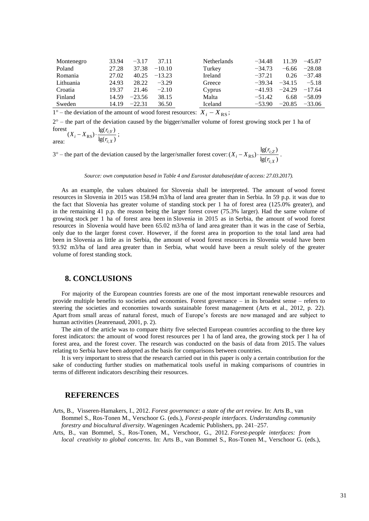| Montenegro | 33.94 | $-3.17$  | 37.11    | <b>Netherlands</b> | $-34.48$ | 11.39    | $-45.87$ |
|------------|-------|----------|----------|--------------------|----------|----------|----------|
| Poland     | 27.28 | 37.38    | $-10.10$ | Turkey             | $-34.73$ | $-6.66$  | $-28.08$ |
| Romania    | 27.02 | 40.25    | $-13.23$ | <b>Ireland</b>     | $-37.21$ | 0.26     | $-37.48$ |
| Lithuania  | 24.93 | 28.22    | $-3.29$  | Greece             | $-39.34$ | $-34.15$ | $-5.18$  |
| Croatia    | 19.37 | 21.46    | $-2.10$  | Cyprus             | $-41.93$ | $-24.29$ | $-17.64$ |
| Finland    | 14.59 | $-23.56$ | 38.15    | Malta              | $-51.42$ | 6.68     | $-58.09$ |
| Sweden     | 14.19 | $-22.31$ | 36.50    | Iceland            | $-53.90$ | $-20.85$ | $-33.06$ |

1° – the deviation of the amount of wood forest resources:  $X_i - X_{RS}$ ;

 $2^{\circ}$  – the part of the deviation caused by the bigger/smaller volume of forest growing stock per 1 ha of forest area:  $\int_{0}^{1}$  ks  $\lg(r_{i,X})$  $(X_i - X_{RS}) \cdot \frac{\lg(r_{i;Y})}{\cdot}$  $_{\text{RS}}) \cdot \frac{\lg(r_{i;Y})}{\lg(r_{i;X})}$  $i - X_{RS}$ )  $\cdot \frac{ig(r_{i;Y})}{ig(r_{i;X})}$  $X_i - X_{RS}$ )  $\cdot \frac{lg(r_{i;Y})}{l}$ ;

 $3^\circ$  – the part of the deviation caused by the larger/smaller forest cover:  $\lg(r_i \cdot_X)$  $(X_i - X_{RS}) \cdot \frac{\lg(r_{i;Z})}{\log(r_{i;Z})}$ ;  $_{RS}$ )  $\cdot \frac{lg(r_i)}{12(r_i)}$  $i; X$  $\sum_{i}$  –  $X_{RS}$ )  $\cdot \frac{ig(r_{i;Z})}{\lg(r_{i;X})}$  $X_i - X_{RS}$ )  $\cdot \frac{lg(r_{i;Z})}{l}$ .

*Source: own computation based in Table 4 and Eurostat database(date of access: 27.03.2017).* 

As an example, the values obtained for Slovenia shall be interpreted. The amount of wood forest resources in Slovenia in 2015 was 158.94 m3/ha of land area greater than in Serbia. In 59 p.p. it was due to the fact that Slovenia has greater volume of standing stock per 1 ha of forest area (125.0% greater), and in the remaining 41 p.p. the reason being the larger forest cover (75.3% larger). Had the same volume of growing stock per 1 ha of forest area been in Slovenia in 2015 as in Serbia, the amount of wood forest resources in Slovenia would have been 65.02 m3/ha of land area greater than it was in the case of Serbia, only due to the larger forest cover. However, if the forest area in proportion to the total land area had been in Slovenia as little as in Serbia, the amount of wood forest resources in Slovenia would have been 93.92 m3/ha of land area greater than in Serbia, what would have been a result solely of the greater volume of forest standing stock.

#### **8. CONCLUSIONS**

;

For majority of the European countries forests are one of the most important renewable resources and provide multiple benefits to societies and economies. Forest governance – in its broadest sense – refers to steering the societies and economies towards sustainable forest management (Arts et al., 2012, p. 22). Apart from small areas of natural forest, much of Europe's forests are now managed and are subject to human activities (Jeanrenaud, 2001, p. 2).

The aim of the article was to compare thirty five selected European countries according to the three key forest indicators: the amount of wood forest resources per 1 ha of land area, the growing stock per 1 ha of forest area, and the forest cover. The research was conducted on the basis of data from 2015. The values relating to Serbia have been adopted as the basis for comparisons between countries.

It is very important to stress that the research carried out in this paper is only a certain contribution for the sake of conducting further studies on mathematical tools useful in making comparisons of countries in terms of different indicators describing their resources.

#### **REFERENCES**

Arts, B., Visseren-Hamakers, I., 2012. *Forest governance: a state of the art review*. In: Arts B., van Bommel S., Ros-Tonen M., Verschoor G. (eds.), *Forest-people interfaces. Understanding community forestry and biocultural diversity*. Wageningen Academic Publishers, pp. 241–257.

Arts, B., van Bommel, S., Ros-Tonen, M., Verschoor, G., 2012. *Forest-people interfaces: from local creativity to global concerns*. In: Arts B., van Bommel S., Ros-Tonen M., Verschoor G. (eds.),